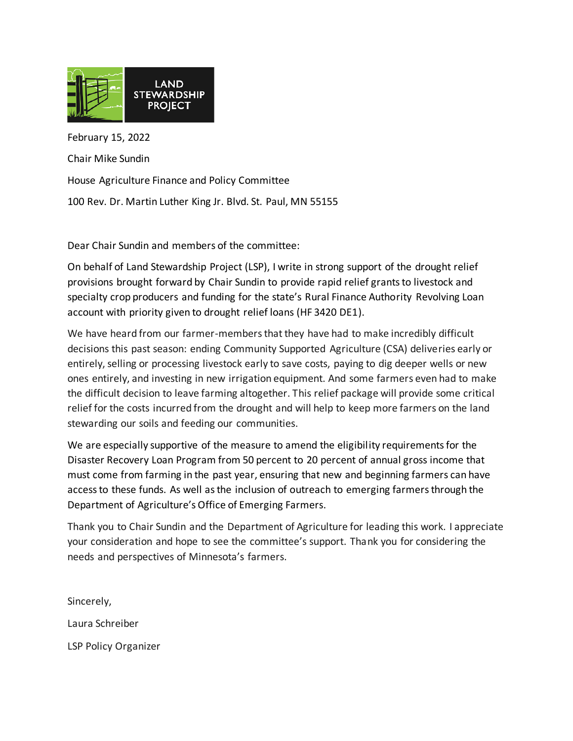

February 15, 2022 Chair Mike Sundin House Agriculture Finance and Policy Committee 100 Rev. Dr. Martin Luther King Jr. Blvd. St. Paul, MN 55155

Dear Chair Sundin and members of the committee:

On behalf of Land Stewardship Project (LSP), I write in strong support of the drought relief provisions brought forward by Chair Sundin to provide rapid relief grants to livestock and specialty crop producers and funding for the state's Rural Finance Authority Revolving Loan account with priority given to drought relief loans (HF 3420 DE1).

We have heard from our farmer-members that they have had to make incredibly difficult decisions this past season: ending Community Supported Agriculture (CSA) deliveries early or entirely, selling or processing livestock early to save costs, paying to dig deeper wells or new ones entirely, and investing in new irrigation equipment. And some farmers even had to make the difficult decision to leave farming altogether. This relief package will provide some critical relief for the costs incurred from the drought and will help to keep more farmers on the land stewarding our soils and feeding our communities.

We are especially supportive of the measure to amend the eligibility requirements for the Disaster Recovery Loan Program from 50 percent to 20 percent of annual gross income that must come from farming in the past year, ensuring that new and beginning farmers can have access to these funds. As well as the inclusion of outreach to emerging farmers through the Department of Agriculture's Office of Emerging Farmers.

Thank you to Chair Sundin and the Department of Agriculture for leading this work. I appreciate your consideration and hope to see the committee's support. Thank you for considering the needs and perspectives of Minnesota's farmers.

Sincerely, Laura Schreiber LSP Policy Organizer